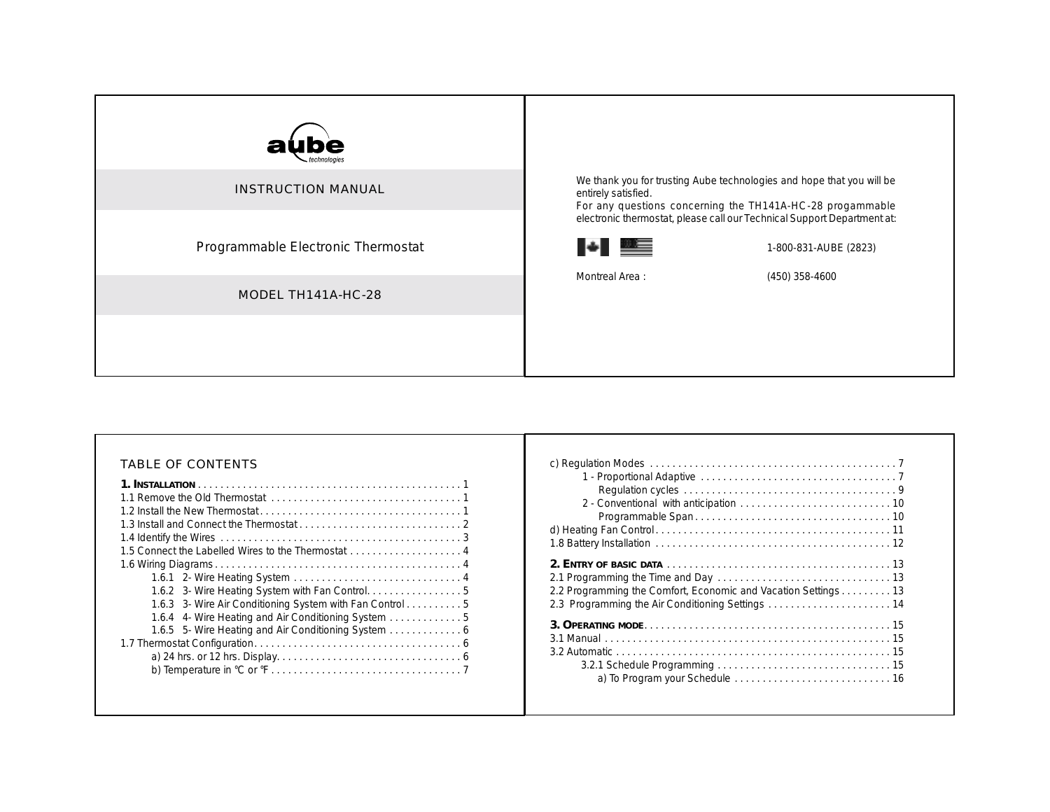| ube<br>al                          |                                                                                                                                                                                                                           |  |
|------------------------------------|---------------------------------------------------------------------------------------------------------------------------------------------------------------------------------------------------------------------------|--|
| <b>INSTRUCTION MANUAL</b>          | We thank you for trusting Aube technologies and hope that you will be<br>entirely satisfied.<br>For any questions concerning the TH141A-HC-28 progammable                                                                 |  |
| Programmable Electronic Thermostat | electronic thermostat, please call our Technical Support Department at:<br><b>ITALIAN DEL BERGERIK DENGAN DENGAN DENGAN DENGAN DENGAN DENGAN DENGAN DENGAN DENGAN DENGAN DENGAN DENGAN DENGA</b><br>1-800-831-AUBE (2823) |  |
| MODEL TH141A-HC-28                 | Montreal Area:<br>$(450)$ 358-4600                                                                                                                                                                                        |  |
|                                    |                                                                                                                                                                                                                           |  |

# TABLE OF CONTENTS

| 1.5 Connect the Labelled Wires to the Thermostat  4      |  |
|----------------------------------------------------------|--|
|                                                          |  |
|                                                          |  |
|                                                          |  |
| 1.6.3 3- Wire Air Conditioning System with Fan Control 5 |  |
| 1.6.4 4- Wire Heating and Air Conditioning System        |  |
|                                                          |  |
|                                                          |  |
|                                                          |  |
|                                                          |  |
|                                                          |  |

| 2.2 Programming the Comfort, Economic and Vacation Settings 13<br>2.3 Programming the Air Conditioning Settings  14 |  |
|---------------------------------------------------------------------------------------------------------------------|--|
|                                                                                                                     |  |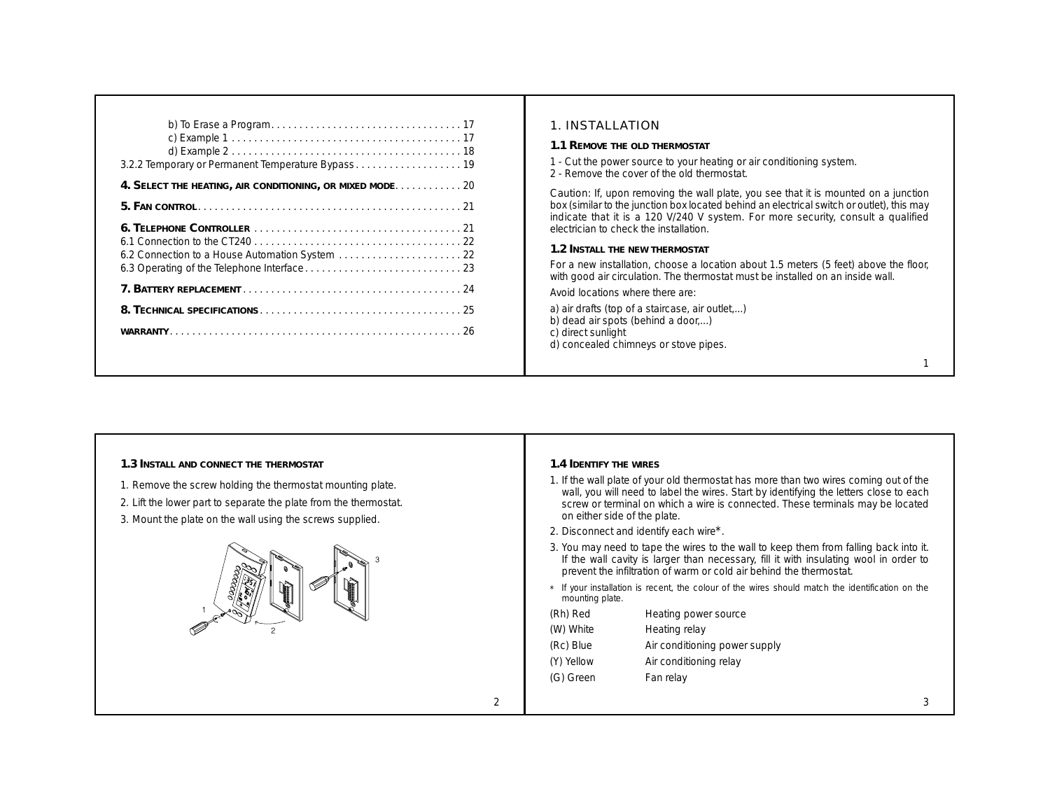| 1. INSTALLATION<br>1.1 REMOVE THE OLD THERMOSTAT<br>1 - Cut the power source to your heating or air conditioning system.<br>2 - Remove the cover of the old thermostat.<br>4. SELECT THE HEATING, AIR CONDITIONING, OR MIXED MODE 20<br>Caution: If, upon removing the wall plate, you see that it is mounted on a junction<br>box (similar to the junction box located behind an electrical switch or outlet), this may<br>indicate that it is a 120 V/240 V system. For more security, consult a qualified<br>electrician to check the installation.<br>6.1 Connection to the CT240 $\ldots$ $\ldots$ $\ldots$ $\ldots$ $\ldots$ $\ldots$ $\ldots$ $\ldots$ $\ldots$ $\ldots$ . 22<br>1.2 INSTALL THE NEW THERMOSTAT<br>For a new installation, choose a location about 1.5 meters (5 feet) above the floor,<br>with good air circulation. The thermostat must be installed on an inside wall.<br>Avoid locations where there are:<br>a) air drafts (top of a staircase, air outlet,)<br>b) dead air spots (behind a door)<br>c) direct sunlight<br>d) concealed chimneys or stove pipes. |  |
|---------------------------------------------------------------------------------------------------------------------------------------------------------------------------------------------------------------------------------------------------------------------------------------------------------------------------------------------------------------------------------------------------------------------------------------------------------------------------------------------------------------------------------------------------------------------------------------------------------------------------------------------------------------------------------------------------------------------------------------------------------------------------------------------------------------------------------------------------------------------------------------------------------------------------------------------------------------------------------------------------------------------------------------------------------------------------------------------|--|
|                                                                                                                                                                                                                                                                                                                                                                                                                                                                                                                                                                                                                                                                                                                                                                                                                                                                                                                                                                                                                                                                                             |  |
|                                                                                                                                                                                                                                                                                                                                                                                                                                                                                                                                                                                                                                                                                                                                                                                                                                                                                                                                                                                                                                                                                             |  |
|                                                                                                                                                                                                                                                                                                                                                                                                                                                                                                                                                                                                                                                                                                                                                                                                                                                                                                                                                                                                                                                                                             |  |

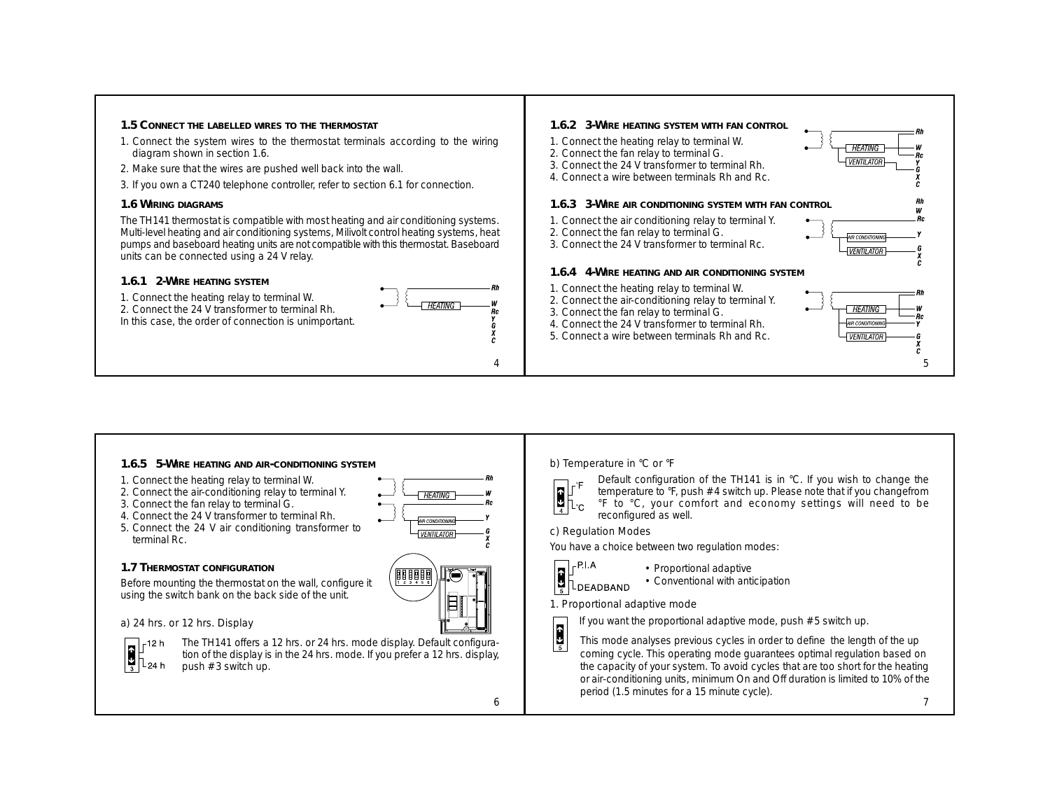

**1.6.5 5-WIRE HEATING AND AIR-CONDITIONING SYSTEM**

- 1. Connect the heating relay to terminal W.
- 2. Connect the air-conditioning relay to terminal Y.
- 3. Connect the fan relay to terminal G.
- 4. Connect the 24 V transformer to terminal Rh.
- 5. Connect the 24 V air conditioning transformer to terminal Rc.
- **1.7 THERMOSTAT CONFIGURATION**

Before mounting the thermostat on the wall, configure it using the switch bank on the back side of the unit.

## *a) 24 hrs. or 12 hrs. Display*



The TH141 offers a 12 hrs. or 24 hrs. mode display. Default configuration of the display is in the 24 hrs. mode. If you prefer a 12 hrs. display, push #3 switch up.

88888

6

### *b) Temperature in °C or °F*



Default configuration of the TH141 is in °C. If you wish to change the temperature to °F, push #4 switch up. Please note that if you changefrom °F to °C, your comfort and economy settings will need to be reconfigured as well.

#### *c) Regulation Modes*

You have a choice between two regulation modes:



• Proportional adaptive • Conventional with anticipation

#### 1. Proportional adaptive mode



This mode analyses previous cycles in order to define the length of the up coming cycle. This operating mode guarantees optimal regulation based on the capacity of your system. To avoid cycles that are too short for the heating or air-conditioning units, minimum On and Off duration is limited to 10% of the period (1.5 minutes for a 15 minute cycle).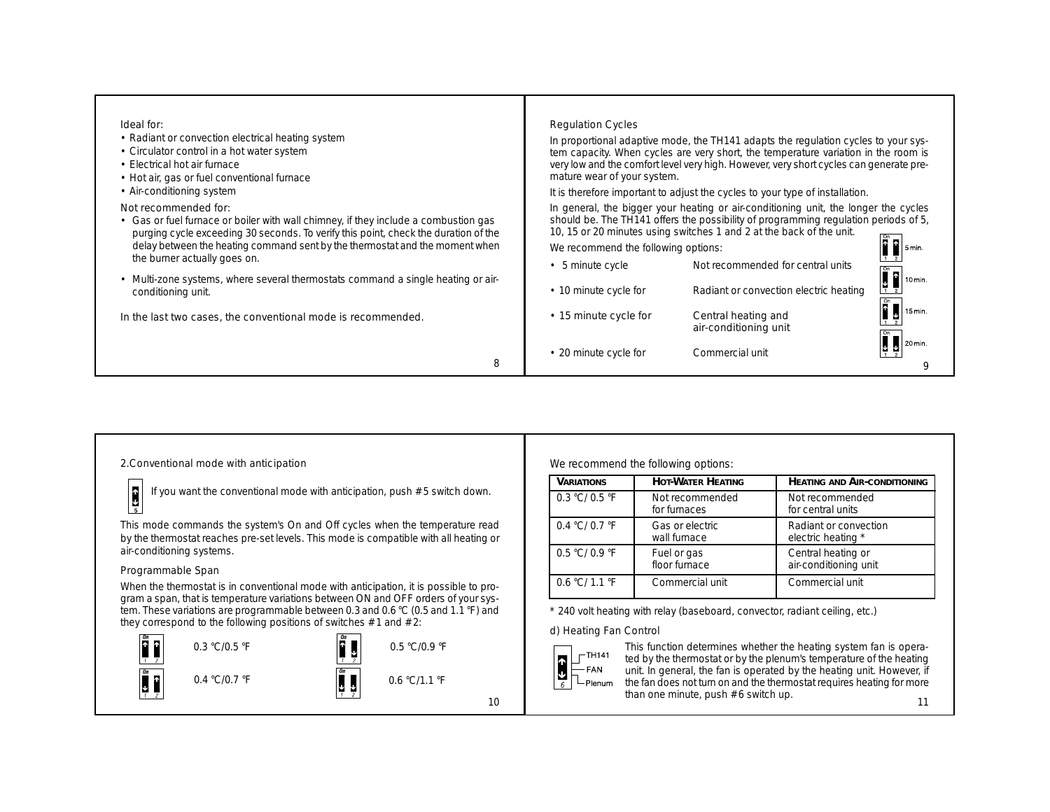| Ideal for:<br>• Radiant or convection electrical heating system<br>• Circulator control in a hot water system<br>• Electrical hot air furnace<br>• Hot air, gas or fuel conventional furnace<br>• Air-conditioning system                                                                                          | <b>Regulation Cycles</b><br>mature wear of your system. | In proportional adaptive mode, the TH141 adapts the regulation cycles to your sys-<br>tem capacity. When cycles are very short, the temperature variation in the room is<br>very low and the comfort level very high. However, very short cycles can generate pre-<br>It is therefore important to adjust the cycles to your type of installation. |         |
|--------------------------------------------------------------------------------------------------------------------------------------------------------------------------------------------------------------------------------------------------------------------------------------------------------------------|---------------------------------------------------------|----------------------------------------------------------------------------------------------------------------------------------------------------------------------------------------------------------------------------------------------------------------------------------------------------------------------------------------------------|---------|
| Not recommended for:<br>• Gas or fuel furnace or boiler with wall chimney, if they include a combustion gas<br>purging cycle exceeding 30 seconds. To verify this point, check the duration of the<br>delay between the heating command sent by the thermostat and the moment when<br>the burner actually goes on. | We recommend the following options:                     | In general, the bigger your heating or air-conditioning unit, the longer the cycles<br>should be. The TH141 offers the possibility of programming regulation periods of 5,<br>10, 15 or 20 minutes using switches 1 and 2 at the back of the unit.                                                                                                 | l 5 min |
| • Multi-zone systems, where several thermostats command a single heating or air-<br>conditioning unit.                                                                                                                                                                                                             | • 5 minute cycle<br>• 10 minute cycle for               | Not recommended for central units<br>Radiant or convection electric heating                                                                                                                                                                                                                                                                        |         |
| In the last two cases, the conventional mode is recommended.                                                                                                                                                                                                                                                       | • 15 minute cycle for                                   | Central heating and<br>air-conditioning unit                                                                                                                                                                                                                                                                                                       | 15 min. |
| 8                                                                                                                                                                                                                                                                                                                  | • 20 minute cycle for                                   | Commercial unit                                                                                                                                                                                                                                                                                                                                    | 20 min. |

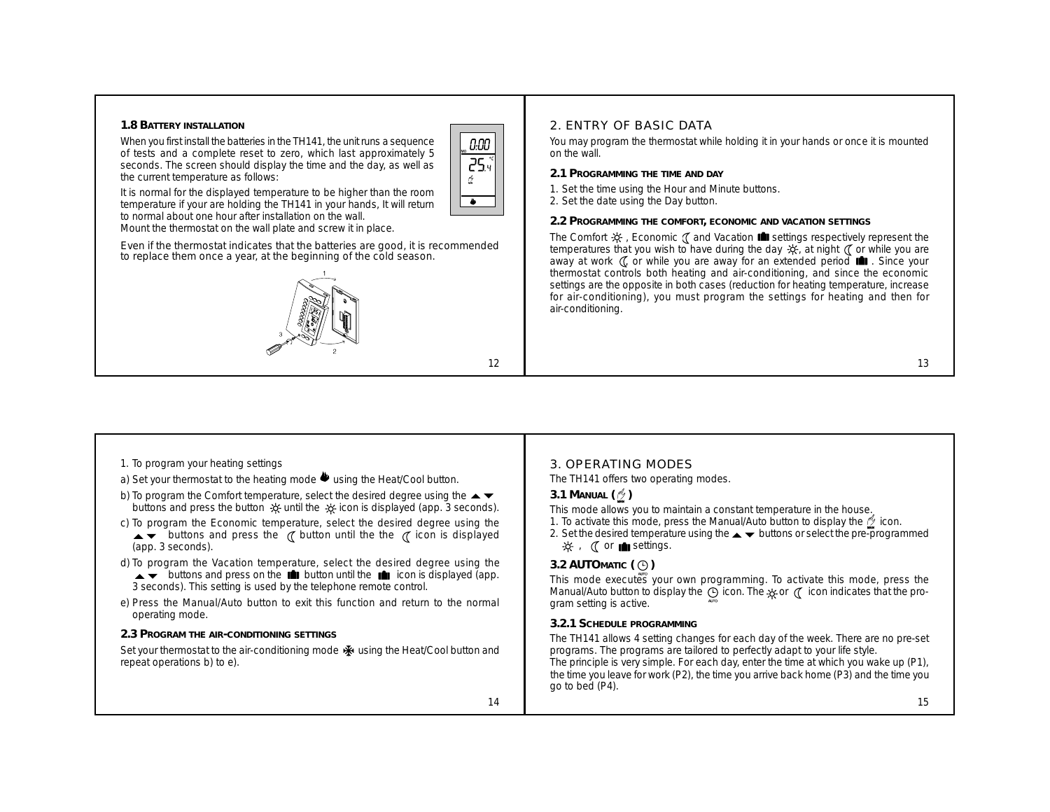#### **1.8 BATTERY INSTALLATION**

When you first install the batteries in the TH141, the unit runs a sequence of tests and a complete reset to zero, which last approximately 5 seconds. The screen should display the time and the day, as well as the current temperature as follows:



12

It is normal for the displayed temperature to be higher than the room temperature if your are holding the TH141 in your hands, It will return to normal about one hour after installation on the wall. Mount the thermostat on the wall plate and screw it in place.

Even if the thermostat indicates that the batteries are good, it is recommended to replace them once a year, at the beginning of the cold season.



### 2. ENTRY OF BASIC DATA

*You may program the thermostat while holding it in your hands or once it is mounted on the wall.*

- **2.1 PROGRAMMING THE TIME AND DAY**
- 1. Set the time using the Hour and Minute buttons.
- 2. Set the date using the Day button.

**2.2 PROGRAMMING THE COMFORT, ECONOMIC AND VACATION SETTINGS**

The Comfort  $\mathcal{X}$  , Economic  $\mathcal{I}$  and Vacation **settings** respectively represent the temperatures that you wish to have during the day  $\frac{1}{2}$ , at night  $\binom{7}{1}$  or while you are away at work (, or while you are away for an extended period **in** . Since your thermostat controls both heating and air-conditioning, and since the economic settings are the opposite in both cases (reduction for heating temperature, increase for air-conditioning), you must program the settings for heating and then for air-conditioning.

#### 13

- 1. To program your heating settings
- a) Set your thermostat to the heating mode  $\blacklozenge$  using the Heat/Cool button.
- b) To program the Comfort temperature, select the desired degree using the  $\blacktriangle \blacktriangledown$ buttons and press the button  $\frac{1}{2}$  until the  $\frac{1}{2}$  icon is displayed (app. 3 seconds).
- c) To program the Economic temperature, select the desired degree using the  $\rightarrow \bullet$  buttons and press the  $\alpha$  button until the the  $\alpha$  icon is displayed (app. 3 seconds).
- d) To program the Vacation temperature, select the desired degree using the  $\rightarrow \bullet$  buttons and press on the **in** button until the **in** icon is displayed (app. 3 seconds). This setting is used by the telephone remote control.
- e) Press the Manual/Auto button to exit this function and return to the normal operating mode.
- **2.3 PROGRAM THE AIR-CONDITIONING SETTINGS**

Set your thermostat to the air-conditioning mode  $\ddot{\mathbf{w}}$  using the Heat/Cool button and repeat operations b) to e).

### 3. OPERATING MODES

The TH141 offers two operating modes.

#### **3.1 MANUAL**  $(\frac{1}{2})$

This mode allows you to maintain a constant temperature in the house.

- 1. To activate this mode, press the Manual/Auto button to display the  $\mathcal{P}$  icon.
- 2. Set the desired temperature using the  $\blacktriangle \blacktriangledown$  buttons or select the pre-programmed  $\mathcal{R}$ ,  $\mathcal{O}$  or **not** settings.

## **3.2 AUTOMATIC** ( $\bigcirc$ )

This mode executes your own programming. To activate this mode, press the Manual/Auto button to display the  $\Theta$  icon. The  $\infty$  or  $\mathcal C$  icon indicates that the program setting is active.

**3.2.1 SCHEDULE PROGRAMMING**

The TH141 allows 4 setting changes for each day of the week. There are no pre-set programs. The programs are tailored to perfectly adapt to your life style. The principle is very simple. For each day, enter the time at which you wake up (P1), the time you leave for work (P2), the time you arrive back home (P3) and the time you go to bed (P4).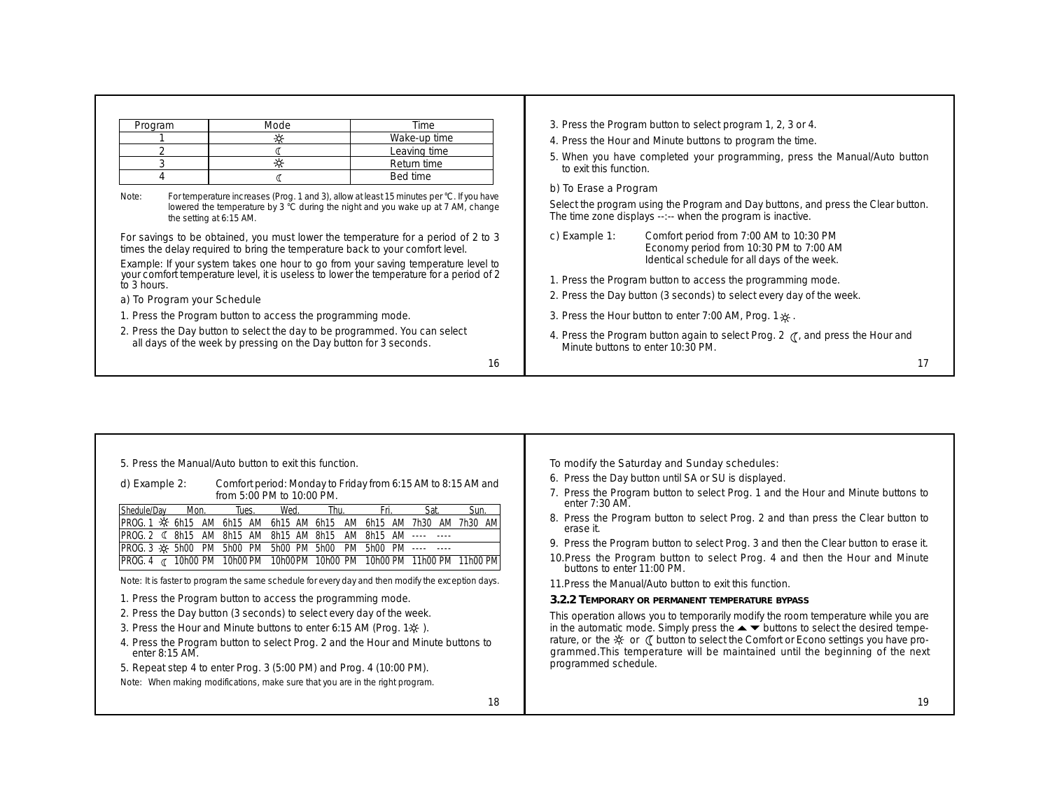| Program | Mode | Time         |
|---------|------|--------------|
|         |      | Wake-up time |
|         |      | Leaving time |
|         |      | Return time  |
|         |      | Bed time     |

*Note: For temperature increases (Prog. 1 and 3), allow at least 15 minutes per °C. If you have lowered the temperature by 3 °C during the night and you wake up at 7 AM, change the setting at 6:15 AM.*

For savings to be obtained, you must lower the temperature for a period of 2 to 3 times the delay required to bring the temperature back to your comfort level.

Example: *If your system takes one hour to go from your saving temperature level to your comfort temperature level, it is useless to lower the temperature for a period of 2 to 3 hours.*

#### *a) To Program your Schedule*

1. Press the Program button to access the programming mode.

2. Press the Day button to select the day to be programmed. You can select all days of the week by pressing on the Day button for 3 seconds.

16

- 3. Press the Program button to select program 1, 2, 3 or 4.
- 4. Press the Hour and Minute buttons to program the time.
- 5. When you have completed your programming, press the Manual/Auto button to exit this function.

### *b) To Erase a Program*

Select the program using the Program and Day buttons, and press the Clear button. The time zone displays --:-- when the program is inactive.

- *c) Example 1:* Comfort period from 7:00 AM to 10:30 PM Economy period from 10:30 PM to 7:00 AM Identical schedule for all days of the week.
- 1. Press the Program button to access the programming mode.
- 2. Press the Day button (3 seconds) to select every day of the week.
- 3. Press the Hour button to enter 7:00 AM, Prog. 1 .
- 4. Press the Program button again to select Prog. 2  $\alpha$ , and press the Hour and Minute buttons to enter 10:30 PM.

| 5. Press the Manual/Auto button to exit this function.<br>Comfort period: Monday to Friday from 6:15 AM to 8:15 AM and<br>d) Example 2:<br>from 5:00 PM to 10:00 PM.<br>Shedule/Dav<br>Thu<br>Sat<br>Sun.<br>Wed<br>Fri<br>Mon.<br>Tues.<br>PROG. 1 - X<br>6h15 AM<br>6h15 AM<br>6h15 AM<br>6h15 AM<br>7h30 AM<br>7h30 AM<br>6h15<br>AM<br>PROG 2 <<br><b>8h15</b><br>8h15 AM<br>8h15<br>8h15<br>AM<br>-----<br>IPROG.3 -> 5h00<br>5h00 PM<br>PM<br>5h00 PM<br>5h00<br>PM<br>5h00 PM<br>10h00 PM<br>10h00 PM<br>10h00PM<br>10h00 PM<br>10h00 PM<br>11h00 PM 11h00 PM<br>IPROG. 4 $\alpha$<br>Note: It is faster to program the same schedule for every day and then modify the exception days.<br>1. Press the Program button to access the programming mode.<br>2. Press the Day button (3 seconds) to select every day of the week.<br>3. Press the Hour and Minute buttons to enter 6:15 AM (Prog. 1※). | To modify the Saturday and Sunday schedules:<br>6. Press the Day button until SA or SU is displayed.<br>7. Press the Program button to select Prog. 1 and the Hour and Minute buttons to<br>enter $7:30$ AM.<br>8. Press the Program button to select Prog. 2 and than press the Clear button to<br>erase it.<br>9. Press the Program button to select Prog. 3 and then the Clear button to erase it.<br>10. Press the Program button to select Prog. 4 and then the Hour and Minute<br>buttons to enter 11:00 PM.<br>11. Press the Manual/Auto button to exit this function.<br>3.2.2 TEMPORARY OR PERMANENT TEMPERATURE BYPASS<br>This operation allows you to temporarily modify the room temperature while you are<br>in the automatic mode. Simply press the $\blacktriangleright \blacktriangleright$ buttons to select the desired tempe- |  |
|------------------------------------------------------------------------------------------------------------------------------------------------------------------------------------------------------------------------------------------------------------------------------------------------------------------------------------------------------------------------------------------------------------------------------------------------------------------------------------------------------------------------------------------------------------------------------------------------------------------------------------------------------------------------------------------------------------------------------------------------------------------------------------------------------------------------------------------------------------------------------------------------------------|--------------------------------------------------------------------------------------------------------------------------------------------------------------------------------------------------------------------------------------------------------------------------------------------------------------------------------------------------------------------------------------------------------------------------------------------------------------------------------------------------------------------------------------------------------------------------------------------------------------------------------------------------------------------------------------------------------------------------------------------------------------------------------------------------------------------------------------------------|--|
| 4. Press the Program button to select Prog. 2 and the Hour and Minute buttons to<br>enter 8:15 AM.<br>5. Repeat step 4 to enter Prog. 3 (5:00 PM) and Prog. 4 (10:00 PM).                                                                                                                                                                                                                                                                                                                                                                                                                                                                                                                                                                                                                                                                                                                                  | rature, or the $\ddot{\mathcal{R}}$ or ( button to select the Comfort or Econo settings you have pro-<br>grammed. This temperature will be maintained until the beginning of the next<br>programmed schedule.                                                                                                                                                                                                                                                                                                                                                                                                                                                                                                                                                                                                                                    |  |
| Note: When making modifications, make sure that you are in the right program.                                                                                                                                                                                                                                                                                                                                                                                                                                                                                                                                                                                                                                                                                                                                                                                                                              |                                                                                                                                                                                                                                                                                                                                                                                                                                                                                                                                                                                                                                                                                                                                                                                                                                                  |  |
| 18                                                                                                                                                                                                                                                                                                                                                                                                                                                                                                                                                                                                                                                                                                                                                                                                                                                                                                         | 19                                                                                                                                                                                                                                                                                                                                                                                                                                                                                                                                                                                                                                                                                                                                                                                                                                               |  |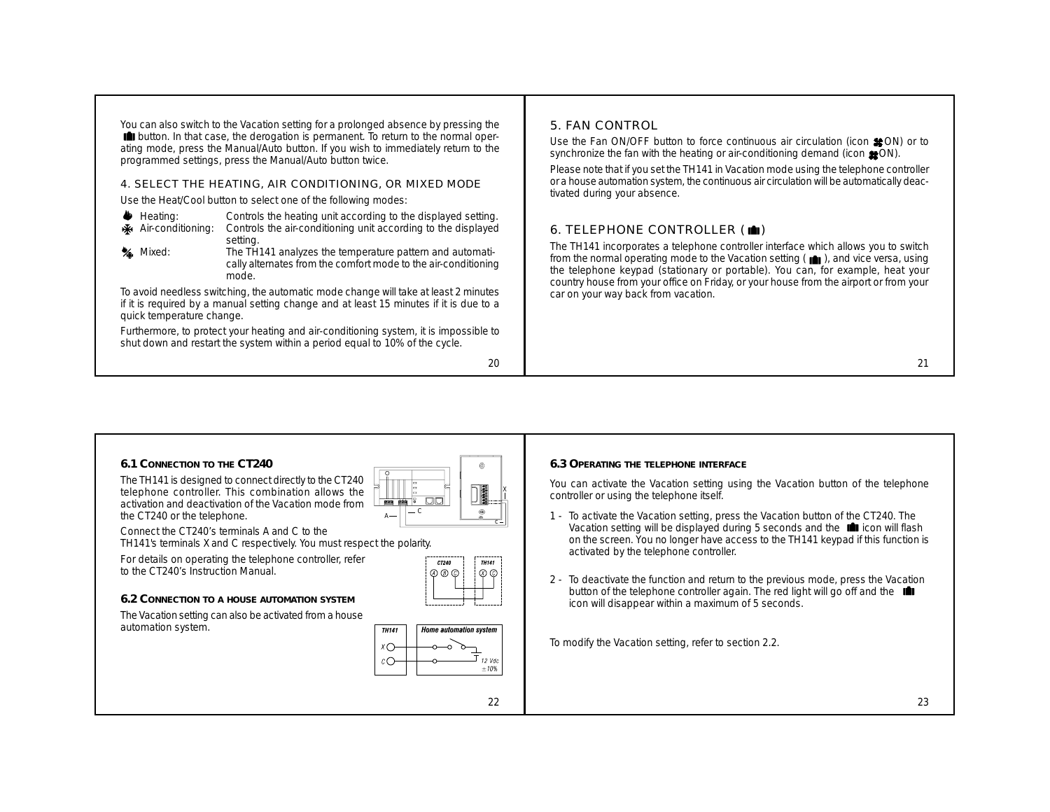You can also switch to the Vacation setting for a prolonged absence by pressing the  $\Box$  button. In that case, the derogation is permanent. To return to the normal operating mode, press the Manual/Auto button. If you wish to immediately return to the programmed settings, press the Manual/Auto button twice.

#### 4. SELECT THE HEATING, AIR CONDITIONING, OR MIXED MODE

Use the Heat/Cool button to select one of the following modes:

- Heating: Controls the heating unit according to the displayed setting.<br>
Kentriconditioning: Controls the air-conditioning unit according to the displayed
- Air-conditioning: Controls the air-conditioning unit according to the displayed setting.
- 
- **Mixed:** The TH141 analyzes the temperature pattern and automatically alternates from the comfort mode to the air-conditioning mode.

To avoid needless switching, the automatic mode change will take at least 2 minutes if it is required by a manual setting change and at least 15 minutes if it is due to a quick temperature change.

Furthermore, to protect your heating and air-conditioning system, it is impossible to shut down and restart the system within a period equal to 10% of the cycle.

20

## 5. FAN CONTROL

Use the Fan ON/OFF button to force continuous air circulation (icon  $$OM$ ) or to synchronize the fan with the heating or air-conditioning demand (icon  $\bullet$ ON).

Please note that if you set the TH141 in Vacation mode using the telephone controller or a house automation system, the continuous air circulation will be automatically deactivated during your absence.

# 6. TELEPHONE CONTROLLER  $(\blacksquare)$

The TH141 incorporates a telephone controller interface which allows you to switch from the normal operating mode to the Vacation setting  $(\blacksquare)$ , and vice versa, using the telephone keypad (stationary or portable). You can, for example, heat your country house from your office on Friday, or your house from the airport or from your car on your way back from vacation.

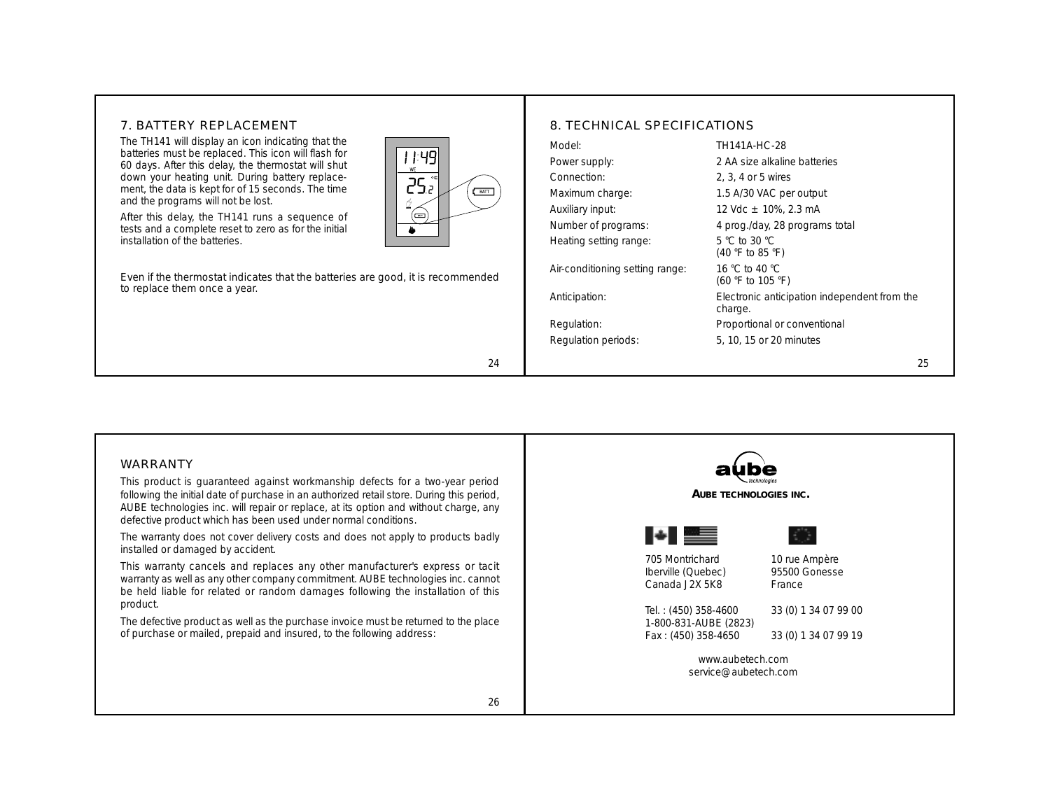## 7. BATTERY REPLACEMENT

The TH141 will display an icon indicating that the batteries must be replaced. This icon will flash for 60 days. After this delay, the thermostat will shut down your heating unit. During battery replacement, the data is kept for of 15 seconds. The time and the programs will not be lost.

After this delay, the TH141 runs a sequence of tests and a complete reset to zero as for the initial installation of the batteries.

Even if the thermostat indicates that the batteries are good, it is recommended to replace them once a year.

| Model:                          | TH141A-HC-28                                            |
|---------------------------------|---------------------------------------------------------|
| Power supply:                   | 2 AA size alkaline batteries                            |
| Connection:                     | 2, 3, 4 or 5 wires                                      |
| Maximum charge:                 | 1.5 A/30 VAC per output                                 |
| Auxiliary input:                | 12 Vdc $\pm$ 10%, 2.3 mA                                |
| Number of programs:             | 4 prog./day, 28 programs total                          |
| Heating setting range:          | 5 °C to 30 °C<br>(40 °F to 85 °F)                       |
| Air-conditioning setting range: | 16 °C to 40 °C<br>(60 °F to 105 °F)                     |
| Anticipation:                   | Electronic anticipation independent from the<br>charge. |
| Regulation:                     | Proportional or conventional                            |
| Regulation periods:             | 5, 10, 15 or 20 minutes                                 |



24

BATT

| 1:49

25.